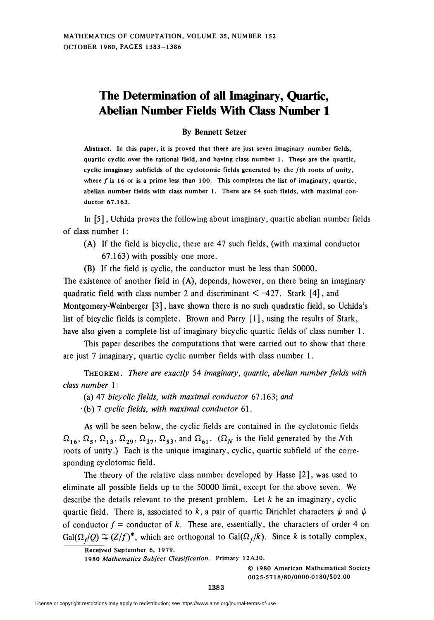## The Determination of all Imaginary, Quartic, Abelian Number Fields With Class Number 1

## By Bennett Setzer

Abstract. In this paper, it is proved that there are just seven imaginary number fields, quartic cyclic over the rational field, and having class number 1. These are the quartic, cyclic imaginary subfields of the cyclotomic fields generated by the fth roots of unity, where  $f$  is 16 or is a prime less than 100. This completes the list of imaginary, quartic, abelian number fields with class number 1. There are 54 such fields, with maximal conductor 67.163.

In [5], Uchida proves the following about imaginary, quartic abelian number fields of class number 1 :

- (A) If the field is bicyclic, there are 47 such fields, (with maximal conductor 67.163) with possibly one more.
- (B) If the field is cyclic, the conductor must be less than 50000.

The existence of another field in (A), depends, however, on there being an imaginary quadratic field with class number 2 and discriminant  $\leq -427$ . Stark [4], and Montgomery-Weinberger [3], have shown there is no such quadratic field, so Uchida's list of bicyclic fields is complete. Brown and Parry [1], using the results of Stark, have also given a complete list of imaginary bicyclic quartic fields of class number 1.

This paper describes the computations that were carried out to show that there are just 7 imaginary, quartic cyclic number fields with class number 1.

THEOREM. There are exactly 54 imaginary, quartic, abelian number fields with class number 1 :

(a) 47 bicyclic fields, with maximal conductor 67.163; and

 $\cdot$ (b) 7 cyclic fields, with maximal conductor 61.

As will be seen below, the cyclic fields are contained in the cyclotomic fields  $\Omega_{16}$ ,  $\Omega_5$ ,  $\Omega_{13}$ ,  $\Omega_{29}$ ,  $\Omega_{37}$ ,  $\Omega_{53}$ , and  $\Omega_{61}$ . ( $\Omega_N$  is the field generated by the Nth roots of unity.) Each is the unique imaginary, cyclic, quartic subfield of the corresponding cyclotomic field.

The theory of the relative class number developed by Hasse [2], was used to eliminate all possible fields up to the 50000 limit, except for the above seven. We describe the details relevant to the present problem. Let  $k$  be an imaginary, cyclic quartic field. There is, associated to k, a pair of quartic Dirichlet characters  $\psi$  and  $\psi$ of conductor  $f =$  conductor of k. These are, essentially, the characters of order 4 on  $Gal(\Omega_f/Q) \simeq (Z/f)^*$ , which are orthogonal to  $Gal(\Omega_f/k)$ . Since k is totally complex,

1980 Mathematics Subject Classification. Primary 12A30.

© 1980 American Mathematical Society 0025-57 1 8/80/0000-01 80/\$02.00

Received September 6, 1979.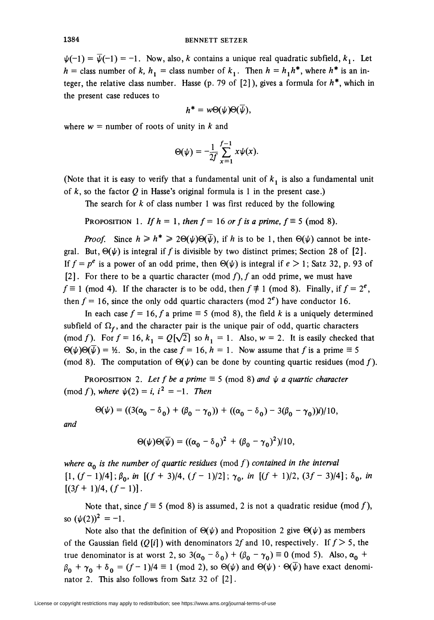$\psi(-1) = \overline{\psi}(-1) = -1$ . Now, also, k contains a unique real quadratic subfield,  $k_1$ . Let  $h =$  class number of k,  $h_1 =$  class number of  $k_1$ . Then  $h = h_1h^*$ , where  $h^*$  is an integer, the relative class number. Hasse (p. 79 of [2]), gives a formula for  $h^*$ , which in the present case reduces to

$$
h^* = w\Theta(\psi)\Theta(\overline{\psi}),
$$

where  $w =$  number of roots of unity in k and

$$
\Theta(\psi) = -\frac{1}{2f} \sum_{x=1}^{f-1} x \psi(x).
$$

(Note that it is easy to verify that a fundamental unit of  $k_1$  is also a fundamental unit of  $k$ , so the factor  $Q$  in Hasse's original formula is 1 in the present case.)

The search for  $k$  of class number 1 was first reduced by the following

PROPOSITION 1. If  $h = 1$ , then  $f = 16$  or f is a prime,  $f = 5 \pmod{8}$ .

**Proof.** Since  $h \ge h^* \ge 2\Theta(\psi)\Theta(\overline{\psi})$ , if h is to be 1, then  $\Theta(\psi)$  cannot be integral. But,  $\Theta(\psi)$  is integral if f is divisible by two distinct primes; Section 28 of [2]. If  $f = p^e$  is a power of an odd prime, then  $\Theta(\psi)$  is integral if  $e > 1$ ; Satz 32, p. 93 of [2]. For there to be a quartic character (mod f), f an odd prime, we must have  $f \equiv 1 \pmod{4}$ . If the character is to be odd, then  $f \not\equiv 1 \pmod{8}$ . Finally, if  $f = 2<sup>e</sup>$ , then  $f = 16$ , since the only odd quartic characters (mod  $2^e$ ) have conductor 16.

In each case  $f = 16$ , f a prime  $\equiv 5 \pmod{8}$ , the field k is a uniquely determined subfield of  $\Omega_f$ , and the character pair is the unique pair of odd, quartic characters (mod f). For  $f = 16$ ,  $k_1 = Q[\sqrt{2}]$  so  $h_1 = 1$ . Also,  $w = 2$ . It is easily checked that  $\Theta(\psi)\Theta(\overline{\psi}) = \frac{1}{2}$ . So, in the case  $f = 16$ ,  $h = 1$ . Now assume that f is a prime  $\equiv 5$ (mod 8). The computation of  $\Theta(\psi)$  can be done by counting quartic residues (mod f).

PROPOSITION 2. Let f be a prime  $\equiv$  5 (mod 8) and  $\psi$  a quartic character (mod f), where  $\psi(2) = i$ ,  $i^2 = -1$ . Then

$$
\Theta(\psi) = ((3(\alpha_0 - \delta_0) + (\beta_0 - \gamma_0)) + ((\alpha_0 - \delta_0) - 3(\beta_0 - \gamma_0))i)/10,
$$

and

$$
\Theta(\psi)\Theta(\overline{\psi}) = ((\alpha_0 - \delta_0)^2 + (\beta_0 - \gamma_0)^2)/10,
$$

where  $\alpha_0$  is the number of quartic residues (mod f) contained in the interval  $[1, (f-1)/4]$ ;  $\beta_0$ , in  $[(f+3)/4, (f-1)/2]$ ;  $\gamma_0$ , in  $[(f+1)/2, (3f-3)/4]$ ;  $\delta_0$ , in  $[(3f+1)/4,(f-1)].$ 

Note that, since  $f \equiv 5 \pmod{8}$  is assumed, 2 is not a quadratic residue (mod f), so  $(\psi(2))^2 = -1$ .

Note also that the definition of  $\Theta(\psi)$  and Proposition 2 give  $\Theta(\psi)$  as members of the Gaussian field  $(Q[i])$  with denominators 2f and 10, respectively. If  $f > 5$ , the true denominator is at worst 2, so  $3(\alpha_0 - \delta_0) + (\beta_0 - \gamma_0) \equiv 0 \pmod{5}$ . Also,  $\alpha_0$  +  $\beta_0 + \gamma_0 + \delta_0 = (f-1)/4 \equiv 1 \pmod{2}$ , so  $\Theta(\psi)$  and  $\Theta(\psi) \cdot \Theta(\overline{\psi})$  have exact denominator 2. This also follows from Satz 32 of [2].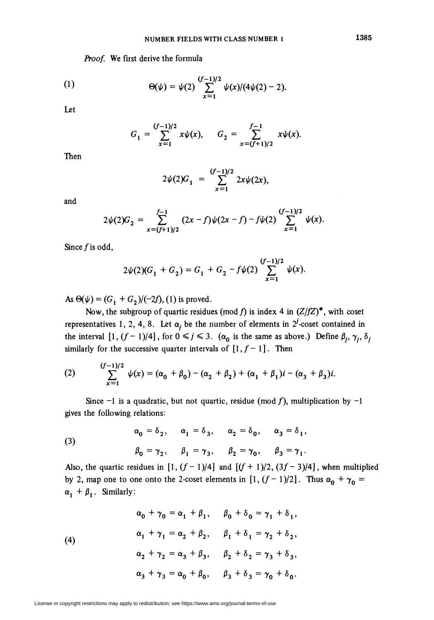Proof. We first derive the formula

(1) 
$$
\Theta(\psi) = \psi(2) \sum_{x=1}^{(f-1)/2} \psi(x) / (4\psi(2) - 2).
$$

Let

$$
G_1 = \sum_{x=1}^{(f-1)/2} x\psi(x), \qquad G_2 = \sum_{x=(f+1)/2}^{f-1} x\psi(x).
$$

Then

$$
2\psi(2)G_1 = \sum_{x=1}^{(f-1)/2} 2x\psi(2x),
$$

and

$$
2\psi(2)G_2 = \sum_{x=(f+1)/2}^{f-1} (2x-f)\psi(2x-f) - f\psi(2)\sum_{x=1}^{(f-1)/2} \psi(x).
$$

Since  $f$  is odd,

$$
2\psi(2)(G_1 + G_2) = G_1 + G_2 - f\psi(2)\sum_{x=1}^{(f-1)/2} \psi(x).
$$

As  $\Theta(\psi) = (G_1 + G_2)/(-2f)$ , (1) is proved.

representatives 1, 2, 4, 8. Let  $\alpha_i$  be the number of elements in 2<sup>*i*</sup>-coset contained in Now, the subgroup of quartic residues (mod f) is index 4 in  $(Z/fZ)^*$ , with coset the interval  $[1, (f-1)/4]$ , for  $0 \le j \le 3$ .  $(\alpha_0$  is the same as above.) Define  $\beta_j$ ,  $\gamma_j$ ,  $\delta_j$ similarly for the successive quarter intervals of  $[1, f-1]$ . Then

(2) 
$$
\sum_{x=1}^{(f-1)/2} \psi(x) = (\alpha_0 + \beta_0) - (\alpha_2 + \beta_2) + (\alpha_1 + \beta_1)i - (\alpha_3 + \beta_3)i.
$$

Since  $-1$  is a quadratic, but not quartic, residue (mod f), multiplication by  $-1$ gives the following relations:

 $\alpha_0 = \delta_2$ ,  $\alpha_1 = \delta_3$ ,  $\alpha_2 = \delta_0$ ,  $\alpha_3 = \delta_1$ , (3)  $\beta_0 = \gamma_2$ ,  $\beta_1 = \gamma_3$ ,  $\beta_2 = \gamma_0$ ,  $\beta_3 = \gamma_1$ .

Also, the quartic residues in  $[1, (f-1)/4]$  and  $[(f + 1)/2, (3f - 3)/4]$ , when multiplied by 2, map one to one onto the 2-coset elements in [1,  $(f-1)/2$ ]. Thus  $\alpha_0 + \gamma_0 =$  $\alpha_1 + \beta_1$ . Similarly:

(4)  
\n
$$
\alpha_0 + \gamma_0 = \alpha_1 + \beta_1, \quad \beta_0 + \delta_0 = \gamma_1 + \delta_1,
$$
\n
$$
\alpha_1 + \gamma_1 = \alpha_2 + \beta_2, \quad \beta_1 + \delta_1 = \gamma_2 + \delta_2,
$$
\n
$$
\alpha_2 + \gamma_2 = \alpha_3 + \beta_3, \quad \beta_2 + \delta_2 = \gamma_3 + \delta_3,
$$
\n
$$
\alpha_3 + \gamma_3 = \alpha_0 + \beta_0, \quad \beta_3 + \delta_3 = \gamma_0 + \delta_0.
$$